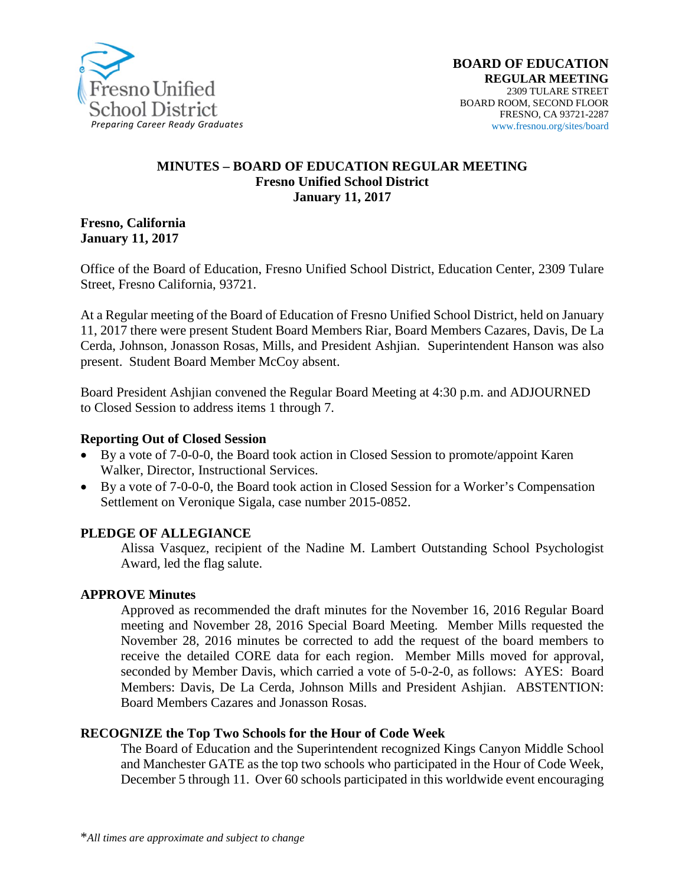

#### **MINUTES – BOARD OF EDUCATION REGULAR MEETING Fresno Unified School District January 11, 2017**

**Fresno, California January 11, 2017**

Office of the Board of Education, Fresno Unified School District, Education Center, 2309 Tulare Street, Fresno California, 93721.

At a Regular meeting of the Board of Education of Fresno Unified School District, held on January 11, 2017 there were present Student Board Members Riar, Board Members Cazares, Davis, De La Cerda, Johnson, Jonasson Rosas, Mills, and President Ashjian. Superintendent Hanson was also present. Student Board Member McCoy absent.

Board President Ashjian convened the Regular Board Meeting at 4:30 p.m. and ADJOURNED to Closed Session to address items 1 through 7.

#### **Reporting Out of Closed Session**

- By a vote of 7-0-0-0, the Board took action in Closed Session to promote/appoint Karen Walker, Director, Instructional Services.
- By a vote of 7-0-0-0, the Board took action in Closed Session for a Worker's Compensation Settlement on Veronique Sigala, case number 2015-0852.

#### **PLEDGE OF ALLEGIANCE**

Alissa Vasquez, recipient of the Nadine M. Lambert Outstanding School Psychologist Award, led the flag salute.

#### **APPROVE Minutes**

Approved as recommended the draft minutes for the November 16, 2016 Regular Board meeting and November 28, 2016 Special Board Meeting. Member Mills requested the November 28, 2016 minutes be corrected to add the request of the board members to receive the detailed CORE data for each region. Member Mills moved for approval, seconded by Member Davis, which carried a vote of 5-0-2-0, as follows: AYES: Board Members: Davis, De La Cerda, Johnson Mills and President Ashjian. ABSTENTION: Board Members Cazares and Jonasson Rosas.

#### **RECOGNIZE the Top Two Schools for the Hour of Code Week**

The Board of Education and the Superintendent recognized Kings Canyon Middle School and Manchester GATE as the top two schools who participated in the Hour of Code Week, December 5 through 11. Over 60 schools participated in this worldwide event encouraging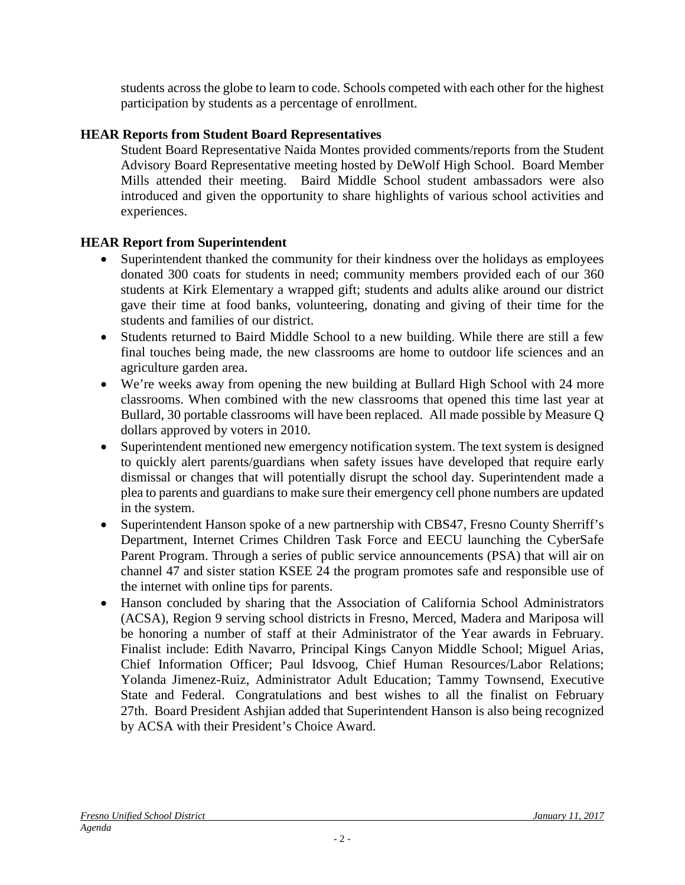students across the globe to learn to code. Schools competed with each other for the highest participation by students as a percentage of enrollment.

## **HEAR Reports from Student Board Representatives**

Student Board Representative Naida Montes provided comments/reports from the Student Advisory Board Representative meeting hosted by DeWolf High School. Board Member Mills attended their meeting. Baird Middle School student ambassadors were also introduced and given the opportunity to share highlights of various school activities and experiences.

## **HEAR Report from Superintendent**

- Superintendent thanked the community for their kindness over the holidays as employees donated 300 coats for students in need; community members provided each of our 360 students at Kirk Elementary a wrapped gift; students and adults alike around our district gave their time at food banks, volunteering, donating and giving of their time for the students and families of our district.
- Students returned to Baird Middle School to a new building. While there are still a few final touches being made, the new classrooms are home to outdoor life sciences and an agriculture garden area.
- We're weeks away from opening the new building at Bullard High School with 24 more classrooms. When combined with the new classrooms that opened this time last year at Bullard, 30 portable classrooms will have been replaced. All made possible by Measure Q dollars approved by voters in 2010.
- Superintendent mentioned new emergency notification system. The text system is designed to quickly alert parents/guardians when safety issues have developed that require early dismissal or changes that will potentially disrupt the school day. Superintendent made a plea to parents and guardians to make sure their emergency cell phone numbers are updated in the system.
- Superintendent Hanson spoke of a new partnership with CBS47, Fresno County Sherriff's Department, Internet Crimes Children Task Force and EECU launching the CyberSafe Parent Program. Through a series of public service announcements [\(PSA\)](https://vimeo.com/199069048) that will air on channel 47 and sister station KSEE 24 the program promotes safe and responsible use of the internet with [online](http://www.yourcentralvalley.com/cybersafe-parent-program) tips for parents.
- Hanson concluded by sharing that the Association of California School Administrators (ACSA), Region 9 serving school districts in Fresno, Merced, Madera and Mariposa will be honoring a number of staff at their Administrator of the Year awards in February. Finalist include: Edith Navarro, Principal Kings Canyon Middle School; Miguel Arias, Chief Information Officer; Paul Idsvoog, Chief Human Resources/Labor Relations; Yolanda Jimenez-Ruiz, Administrator Adult Education; Tammy Townsend, Executive State and Federal. Congratulations and best wishes to all the finalist on February 27th. Board President Ashjian added that Superintendent Hanson is also being recognized by ACSA with their President's Choice Award.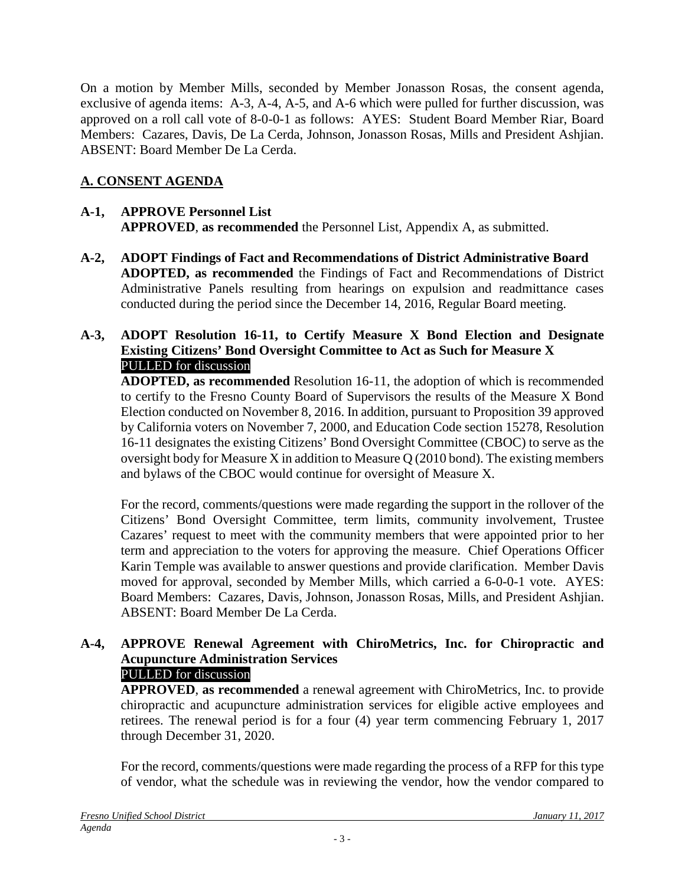On a motion by Member Mills, seconded by Member Jonasson Rosas, the consent agenda, exclusive of agenda items: A-3, A-4, A-5, and A-6 which were pulled for further discussion, was approved on a roll call vote of 8-0-0-1 as follows: AYES: Student Board Member Riar, Board Members: Cazares, Davis, De La Cerda, Johnson, Jonasson Rosas, Mills and President Ashjian. ABSENT: Board Member De La Cerda.

# **A. CONSENT AGENDA**

## **A-1, APPROVE Personnel List APPROVED**, **as recommended** the Personnel List, Appendix A, as submitted.

**A-2, ADOPT Findings of Fact and Recommendations of District Administrative Board ADOPTED, as recommended** the Findings of Fact and Recommendations of District Administrative Panels resulting from hearings on expulsion and readmittance cases conducted during the period since the December 14, 2016, Regular Board meeting.

### **A-3, ADOPT Resolution 16-11, to Certify Measure X Bond Election and Designate Existing Citizens' Bond Oversight Committee to Act as Such for Measure X** PULLED for discussion

**ADOPTED, as recommended** Resolution 16-11, the adoption of which is recommended to certify to the Fresno County Board of Supervisors the results of the Measure X Bond Election conducted on November 8, 2016. In addition, pursuant to Proposition 39 approved by California voters on November 7, 2000, and Education Code section 15278, Resolution 16-11 designates the existing Citizens' Bond Oversight Committee (CBOC) to serve as the oversight body for Measure X in addition to Measure Q (2010 bond). The existing members and bylaws of the CBOC would continue for oversight of Measure X.

For the record, comments/questions were made regarding the support in the rollover of the Citizens' Bond Oversight Committee, term limits, community involvement, Trustee Cazares' request to meet with the community members that were appointed prior to her term and appreciation to the voters for approving the measure. Chief Operations Officer Karin Temple was available to answer questions and provide clarification. Member Davis moved for approval, seconded by Member Mills, which carried a 6-0-0-1 vote. AYES: Board Members: Cazares, Davis, Johnson, Jonasson Rosas, Mills, and President Ashjian. ABSENT: Board Member De La Cerda.

#### **A-4, APPROVE Renewal Agreement with ChiroMetrics, Inc. for Chiropractic and Acupuncture Administration Services** PULLED for discussion

**APPROVED**, **as recommended** a renewal agreement with ChiroMetrics, Inc. to provide chiropractic and acupuncture administration services for eligible active employees and retirees. The renewal period is for a four (4) year term commencing February 1, 2017 through December 31, 2020.

For the record, comments/questions were made regarding the process of a RFP for this type of vendor, what the schedule was in reviewing the vendor, how the vendor compared to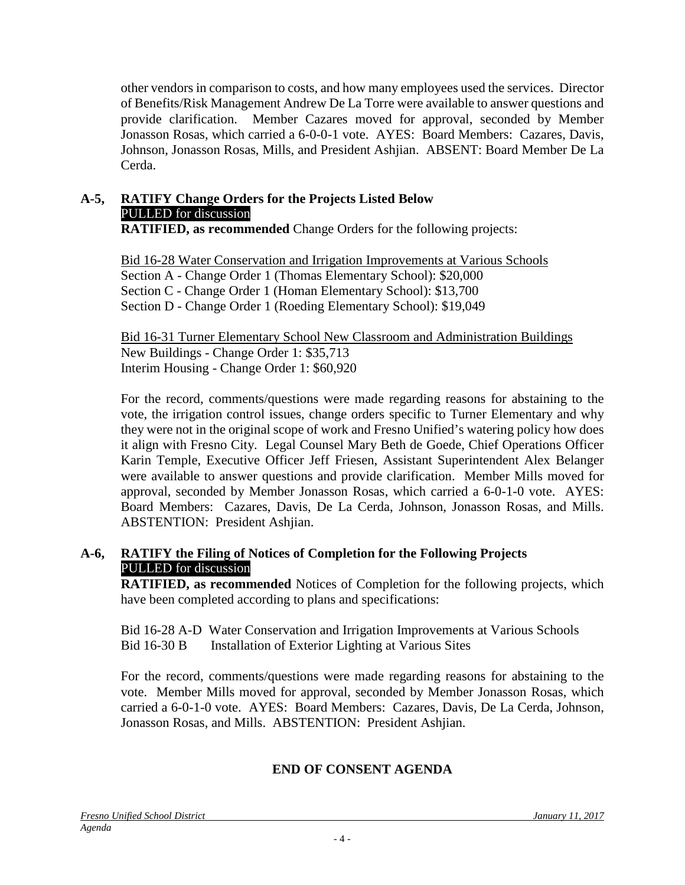other vendors in comparison to costs, and how many employees used the services. Director of Benefits/Risk Management Andrew De La Torre were available to answer questions and provide clarification. Member Cazares moved for approval, seconded by Member Jonasson Rosas, which carried a 6-0-0-1 vote. AYES: Board Members: Cazares, Davis, Johnson, Jonasson Rosas, Mills, and President Ashjian. ABSENT: Board Member De La Cerda.

# **A-5, RATIFY Change Orders for the Projects Listed Below** PULLED for discussion

**RATIFIED, as recommended** Change Orders for the following projects:

Bid 16-28 Water Conservation and Irrigation Improvements at Various Schools Section A - Change Order 1 (Thomas Elementary School): \$20,000 Section C - Change Order 1 (Homan Elementary School): \$13,700 Section D - Change Order 1 (Roeding Elementary School): \$19,049

Bid 16-31 Turner Elementary School New Classroom and Administration Buildings New Buildings - Change Order 1: \$35,713 Interim Housing - Change Order 1: \$60,920

For the record, comments/questions were made regarding reasons for abstaining to the vote, the irrigation control issues, change orders specific to Turner Elementary and why they were not in the original scope of work and Fresno Unified's watering policy how does it align with Fresno City. Legal Counsel Mary Beth de Goede, Chief Operations Officer Karin Temple, Executive Officer Jeff Friesen, Assistant Superintendent Alex Belanger were available to answer questions and provide clarification. Member Mills moved for approval, seconded by Member Jonasson Rosas, which carried a 6-0-1-0 vote. AYES: Board Members: Cazares, Davis, De La Cerda, Johnson, Jonasson Rosas, and Mills. ABSTENTION: President Ashjian.

## **A-6, RATIFY the Filing of Notices of Completion for the Following Projects** PULLED for discussion

**RATIFIED, as recommended** Notices of Completion for the following projects, which have been completed according to plans and specifications:

Bid 16-28 A-D Water Conservation and Irrigation Improvements at Various Schools Bid 16-30 B Installation of Exterior Lighting at Various Sites

For the record, comments/questions were made regarding reasons for abstaining to the vote. Member Mills moved for approval, seconded by Member Jonasson Rosas, which carried a 6-0-1-0 vote. AYES: Board Members: Cazares, Davis, De La Cerda, Johnson, Jonasson Rosas, and Mills. ABSTENTION: President Ashjian.

## **END OF CONSENT AGENDA**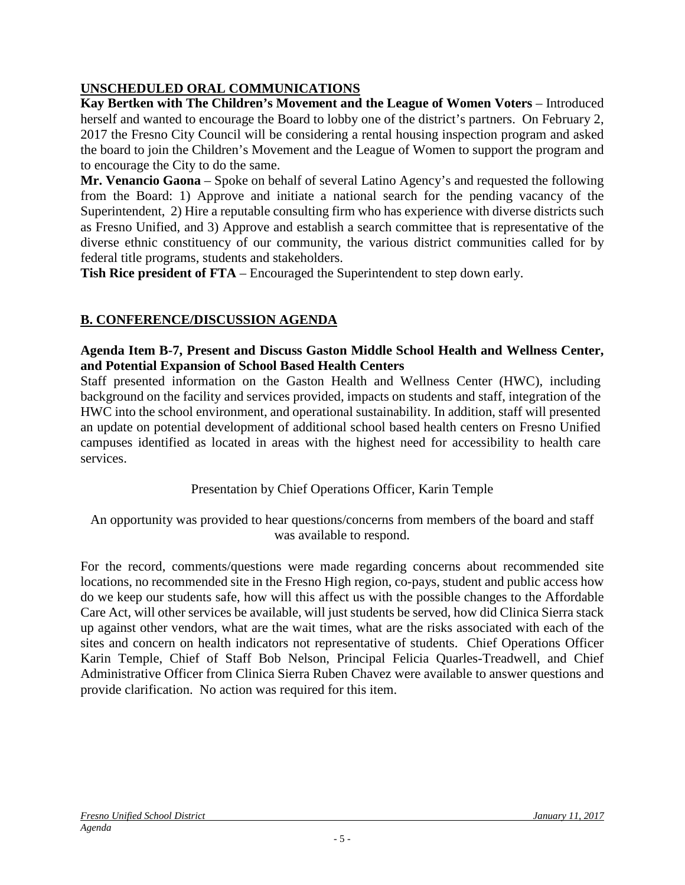# **UNSCHEDULED ORAL COMMUNICATIONS**

**Kay Bertken with The Children's Movement and the League of Women Voters** – Introduced herself and wanted to encourage the Board to lobby one of the district's partners. On February 2, 2017 the Fresno City Council will be considering a rental housing inspection program and asked the board to join the Children's Movement and the League of Women to support the program and to encourage the City to do the same.

**Mr. Venancio Gaona** – Spoke on behalf of several Latino Agency's and requested the following from the Board: 1) Approve and initiate a national search for the pending vacancy of the Superintendent, 2) Hire a reputable consulting firm who has experience with diverse districts such as Fresno Unified, and 3) Approve and establish a search committee that is representative of the diverse ethnic constituency of our community, the various district communities called for by federal title programs, students and stakeholders.

**Tish Rice president of FTA** – Encouraged the Superintendent to step down early.

# **B. CONFERENCE/DISCUSSION AGENDA**

**Agenda Item B-7, Present and Discuss Gaston Middle School Health and Wellness Center, and Potential Expansion of School Based Health Centers**

Staff presented information on the Gaston Health and Wellness Center (HWC), including background on the facility and services provided, impacts on students and staff, integration of the HWC into the school environment, and operational sustainability. In addition, staff will presented an update on potential development of additional school based health centers on Fresno Unified campuses identified as located in areas with the highest need for accessibility to health care services.

Presentation by Chief Operations Officer, Karin Temple

An opportunity was provided to hear questions/concerns from members of the board and staff was available to respond.

For the record, comments/questions were made regarding concerns about recommended site locations, no recommended site in the Fresno High region, co-pays, student and public access how do we keep our students safe, how will this affect us with the possible changes to the Affordable Care Act, will other services be available, will just students be served, how did Clinica Sierra stack up against other vendors, what are the wait times, what are the risks associated with each of the sites and concern on health indicators not representative of students. Chief Operations Officer Karin Temple, Chief of Staff Bob Nelson, Principal Felicia Quarles-Treadwell, and Chief Administrative Officer from Clinica Sierra Ruben Chavez were available to answer questions and provide clarification. No action was required for this item.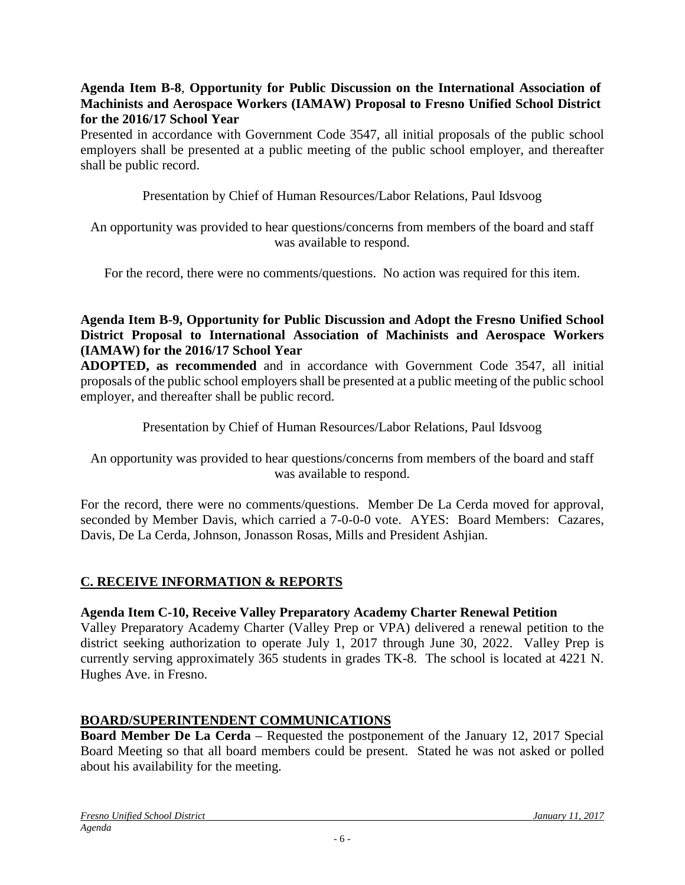#### **Agenda Item B-8**, **Opportunity for Public Discussion on the International Association of Machinists and Aerospace Workers (IAMAW) Proposal to Fresno Unified School District for the 2016/17 School Year**

Presented in accordance with Government Code 3547, all initial proposals of the public school employers shall be presented at a public meeting of the public school employer, and thereafter shall be public record.

Presentation by Chief of Human Resources/Labor Relations, Paul Idsvoog

An opportunity was provided to hear questions/concerns from members of the board and staff was available to respond.

For the record, there were no comments/questions. No action was required for this item.

### **Agenda Item B-9, Opportunity for Public Discussion and Adopt the Fresno Unified School District Proposal to International Association of Machinists and Aerospace Workers (IAMAW) for the 2016/17 School Year**

**ADOPTED, as recommended** and in accordance with Government Code 3547, all initial proposals of the public school employers shall be presented at a public meeting of the public school employer, and thereafter shall be public record.

## Presentation by Chief of Human Resources/Labor Relations, Paul Idsvoog

An opportunity was provided to hear questions/concerns from members of the board and staff was available to respond.

For the record, there were no comments/questions. Member De La Cerda moved for approval, seconded by Member Davis, which carried a 7-0-0-0 vote. AYES: Board Members: Cazares, Davis, De La Cerda, Johnson, Jonasson Rosas, Mills and President Ashjian.

## **C. RECEIVE INFORMATION & REPORTS**

#### **Agenda Item C-10, Receive Valley Preparatory Academy Charter Renewal Petition**

Valley Preparatory Academy Charter (Valley Prep or VPA) delivered a renewal petition to the district seeking authorization to operate July 1, 2017 through June 30, 2022. Valley Prep is currently serving approximately 365 students in grades TK-8. The school is located at 4221 N. Hughes Ave. in Fresno.

## **BOARD/SUPERINTENDENT COMMUNICATIONS**

**Board Member De La Cerda** – Requested the postponement of the January 12, 2017 Special Board Meeting so that all board members could be present. Stated he was not asked or polled about his availability for the meeting.